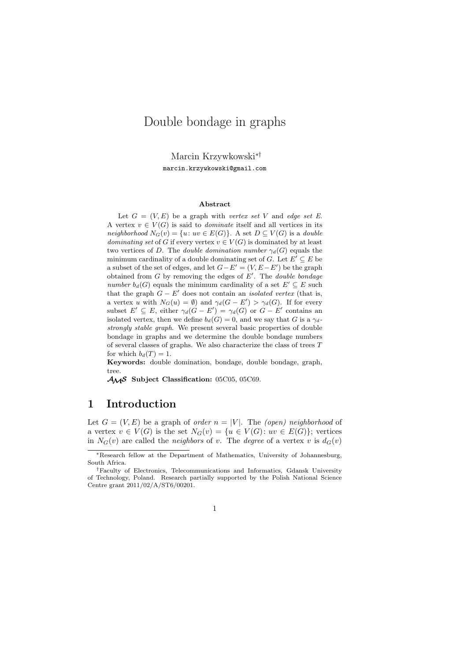# Double bondage in graphs

Marcin Krzywkowski∗† marcin.krzywkowski@gmail.com

#### **Abstract**

Let  $G = (V, E)$  be a graph with *vertex set* V and *edge set* E. A vertex  $v \in V(G)$  is said to *dominate* itself and all vertices in its *neighborhood*  $N_G(v) = \{u: uv \in E(G)\}\)$ . A set  $D \subseteq V(G)$  is a *double dominating set* of G if every vertex  $v \in V(G)$  is dominated by at least two vertices of D. The *double domination number*  $\gamma_d(G)$  equals the minimum cardinality of a double dominating set of G. Let  $E' \subseteq E$  be a subset of the set of edges, and let  $G - E' = (V, E - E')$  be the graph obtained from G by removing the edges of E ′ . The *double bondage number*  $b_d(G)$  equals the minimum cardinality of a set  $E' \subseteq E$  such that the graph  $G - E'$  does not contain an *isolated vertex* (that is, a vertex u with  $N_G(u) = \emptyset$  and  $\gamma_d(G - E') > \gamma_d(G)$ . If for every subset  $E' \subseteq E$ , either  $\gamma_d(G - E') = \gamma_d(G)$  or  $G - E'$  contains an isolated vertex, then we define  $b_d(G) = 0$ , and we say that G is a  $\gamma_d$ *strongly stable graph*. We present several basic properties of double bondage in graphs and we determine the double bondage numbers of several classes of graphs. We also characterize the class of trees  $T$ for which  $b_d(T) = 1$ .

**Keywords:** double domination, bondage, double bondage, graph, tree.

AMS **Subject Classification:** 05C05, 05C69.

### **1 Introduction**

Let  $G = (V, E)$  be a graph of *order*  $n = |V|$ . The *(open)* neighborhood of a vertex  $v \in V(G)$  is the set  $N_G(v) = \{u \in V(G): uv \in E(G)\}$ ; vertices in  $N_G(v)$  are called the *neighbors* of v. The *degree* of a vertex v is  $d_G(v)$ 

<sup>∗</sup>Research fellow at the Department of Mathematics, University of Johannesburg, South Africa.

<sup>†</sup>Faculty of Electronics, Telecommunications and Informatics, Gdansk University of Technology, Poland. Research partially supported by the Polish National Science Centre grant 2011/02/A/ST6/00201.

<sup>1</sup>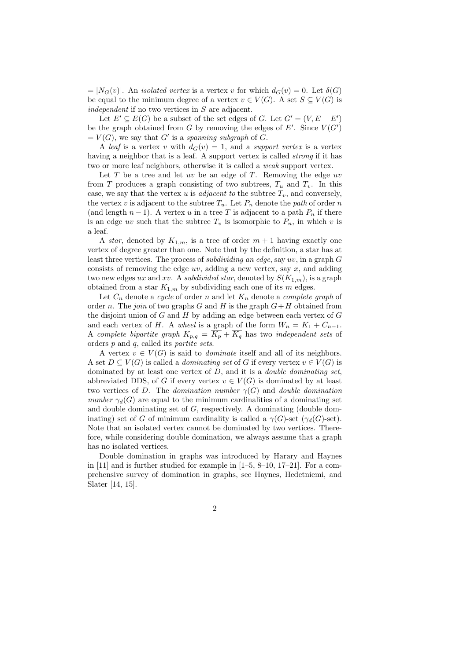$= |N_G(v)|$ . An *isolated vertex* is a vertex v for which  $d_G(v) = 0$ . Let  $\delta(G)$ be equal to the minimum degree of a vertex  $v \in V(G)$ . A set  $S \subseteq V(G)$  is *independent* if no two vertices in S are adjacent.

Let  $E' \subseteq E(G)$  be a subset of the set edges of G. Let  $G' = (V, E - E')$ be the graph obtained from G by removing the edges of E'. Since  $V(G')$  $= V(G)$ , we say that G' is a *spanning subgraph* of G.

A *leaf* is a vertex v with  $d_G(v) = 1$ , and a *support vertex* is a vertex having a neighbor that is a leaf. A support vertex is called *strong* if it has two or more leaf neighbors, otherwise it is called a *weak* support vertex.

Let  $T$  be a tree and let  $uv$  be an edge of  $T$ . Removing the edge  $uv$ from T produces a graph consisting of two subtrees,  $T_u$  and  $T_v$ . In this case, we say that the vertex u is *adjacent to* the subtree  $T_v$ , and conversely, the vertex v is adjacent to the subtree  $T_u$ . Let  $P_n$  denote the *path* of order n (and length  $n-1$ ). A vertex u in a tree T is adjacent to a path  $P_n$  if there is an edge uv such that the subtree  $T_v$  is isomorphic to  $P_n$ , in which v is a leaf.

A *star*, denoted by  $K_{1,m}$ , is a tree of order  $m+1$  having exactly one vertex of degree greater than one. Note that by the definition, a star has at least three vertices. The process of *subdividing an edge*, say uv, in a graph G consists of removing the edge  $uv$ , adding a new vertex, say  $x$ , and adding two new edges ux and xv. A *subdivided star*, denoted by  $S(K_{1,m})$ , is a graph obtained from a star  $K_{1,m}$  by subdividing each one of its m edges.

Let  $C_n$  denote a *cycle* of order n and let  $K_n$  denote a *complete graph* of order *n*. The *join* of two graphs G and H is the graph  $G + H$  obtained from the disjoint union of  $G$  and  $H$  by adding an edge between each vertex of  $G$ and each vertex of H. A *wheel* is a graph of the form  $W_n = K_1 + C_{n-1}$ . A *complete bipartite graph*  $K_{p,q} = \overline{K_p} + \overline{K_q}$  has two *independent sets* of orders p and q, called its *partite sets*.

A vertex  $v \in V(G)$  is said to *dominate* itself and all of its neighbors. A set  $D \subseteq V(G)$  is called a *dominating set* of G if every vertex  $v \in V(G)$  is dominated by at least one vertex of D, and it is a *double dominating set*, abbreviated DDS, of G if every vertex  $v \in V(G)$  is dominated by at least two vertices of D. The *domination number*  $\gamma(G)$  and *double domination number*  $\gamma_d(G)$  are equal to the minimum cardinalities of a dominating set and double dominating set of G, respectively. A dominating (double dominating) set of G of minimum cardinality is called a  $\gamma(G)$ -set ( $\gamma_d(G)$ -set). Note that an isolated vertex cannot be dominated by two vertices. Therefore, while considering double domination, we always assume that a graph has no isolated vertices.

Double domination in graphs was introduced by Harary and Haynes in [11] and is further studied for example in  $[1-5, 8-10, 17-21]$ . For a comprehensive survey of domination in graphs, see Haynes, Hedetniemi, and Slater [14, 15].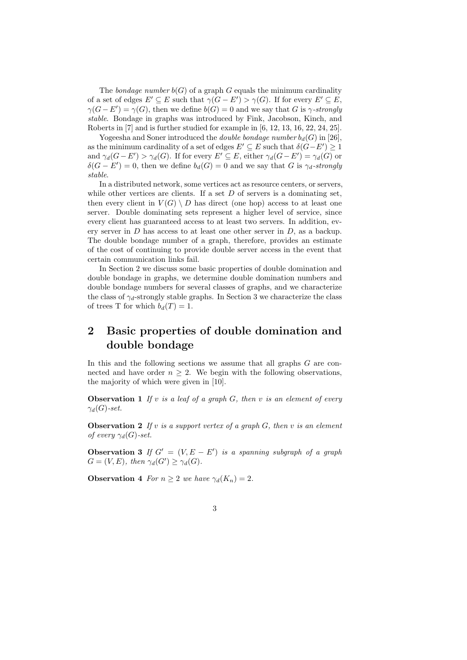The *bondage number*  $b(G)$  of a graph G equals the minimum cardinality of a set of edges  $E' \subseteq E$  such that  $\gamma(G - E') > \gamma(G)$ . If for every  $E' \subseteq E$ ,  $\gamma(G - E') = \gamma(G)$ , then we define  $b(G) = 0$  and we say that G is  $\gamma$ -strongly *stable*. Bondage in graphs was introduced by Fink, Jacobson, Kinch, and Roberts in [7] and is further studied for example in [6, 12, 13, 16, 22, 24, 25].

Yogeesha and Soner introduced the *double bondage number*  $b_d(G)$  in [26], as the minimum cardinality of a set of edges  $E' \subseteq E$  such that  $\delta(G-E') \geq 1$ and  $\gamma_d(G - E') > \gamma_d(G)$ . If for every  $E' \subseteq E$ , either  $\gamma_d(G - E') = \gamma_d(G)$  or  $\delta(G - E') = 0$ , then we define  $b_d(G) = 0$  and we say that G is  $\gamma_d$ -strongly *stable*.

In a distributed network, some vertices act as resource centers, or servers, while other vertices are clients. If a set  $D$  of servers is a dominating set, then every client in  $V(G) \setminus D$  has direct (one hop) access to at least one server. Double dominating sets represent a higher level of service, since every client has guaranteed access to at least two servers. In addition, every server in D has access to at least one other server in D, as a backup. The double bondage number of a graph, therefore, provides an estimate of the cost of continuing to provide double server access in the event that certain communication links fail.

In Section 2 we discuss some basic properties of double domination and double bondage in graphs, we determine double domination numbers and double bondage numbers for several classes of graphs, and we characterize the class of  $\gamma_d$ -strongly stable graphs. In Section 3 we characterize the class of trees T for which  $b_d(T) = 1$ .

## **2 Basic properties of double domination and double bondage**

In this and the following sections we assume that all graphs  $G$  are connected and have order  $n \geq 2$ . We begin with the following observations, the majority of which were given in [10].

**Observation 1** *If* v *is a leaf of a graph* G*, then* v *is an element of every*  $\gamma_d(G)$ -set.

**Observation 2** *If* v *is a support vertex of a graph* G*, then* v *is an element of every*  $\gamma_d(G)$ -set.

**Observation 3** *If*  $G' = (V, E - E')$  *is a spanning subgraph of a graph*  $G = (V, E)$ *, then*  $\gamma_d(G') \geq \gamma_d(G)$ *.* 

**Observation 4** *For*  $n \geq 2$  *we have*  $\gamma_d(K_n) = 2$ *.* 

3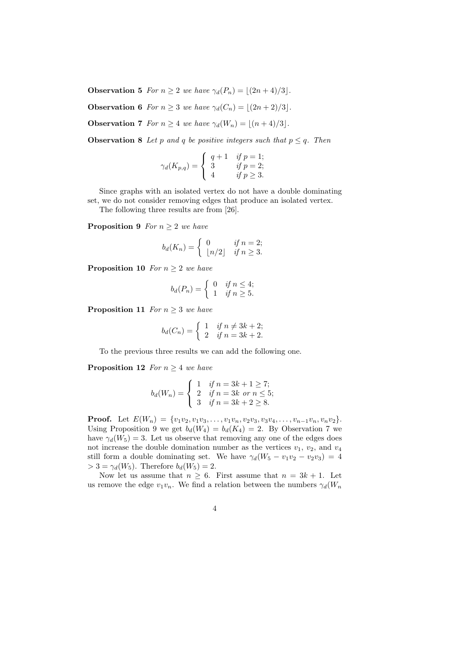**Observation 5** *For*  $n > 2$  *we have*  $\gamma_d(P_n) = |(2n + 4)/3|$ *.* 

**Observation 6** *For*  $n \geq 3$  *we have*  $\gamma_d(C_n) = |(2n + 2)/3|$ *.* 

**Observation 7** *For*  $n \geq 4$  *we have*  $\gamma_d(W_n) = \lfloor (n+4)/3 \rfloor$ *.* 

**Observation 8** *Let* p and q be positive integers such that  $p \leq q$ . Then

$$
\gamma_d(K_{p,q}) = \begin{cases} q+1 & \text{if } p = 1; \\ 3 & \text{if } p = 2; \\ 4 & \text{if } p \ge 3. \end{cases}
$$

Since graphs with an isolated vertex do not have a double dominating set, we do not consider removing edges that produce an isolated vertex.

The following three results are from [26].

**Proposition 9** *For*  $n \geq 2$  *we have* 

$$
b_d(K_n) = \begin{cases} 0 & \text{if } n = 2; \\ \lfloor n/2 \rfloor & \text{if } n \ge 3. \end{cases}
$$

**Proposition 10** *For*  $n \geq 2$  *we have* 

$$
b_d(P_n) = \begin{cases} 0 & \text{if } n \le 4; \\ 1 & \text{if } n \ge 5. \end{cases}
$$

**Proposition 11** *For*  $n \geq 3$  *we have* 

$$
b_d(C_n) = \begin{cases} 1 & \text{if } n \neq 3k+2; \\ 2 & \text{if } n = 3k+2. \end{cases}
$$

To the previous three results we can add the following one.

**Proposition 12** *For*  $n \geq 4$  *we have* 

$$
b_d(W_n) = \begin{cases} 1 & \text{if } n = 3k + 1 \ge 7; \\ 2 & \text{if } n = 3k \text{ or } n \le 5; \\ 3 & \text{if } n = 3k + 2 \ge 8. \end{cases}
$$

**Proof.** Let  $E(W_n) = \{v_1v_2, v_1v_3, \ldots, v_1v_n, v_2v_3, v_3v_4, \ldots, v_{n-1}v_n, v_nv_2\}.$ Using Proposition 9 we get  $b_d(W_4) = b_d(K_4) = 2$ . By Observation 7 we have  $\gamma_d(W_5) = 3$ . Let us observe that removing any one of the edges does not increase the double domination number as the vertices  $v_1$ ,  $v_2$ , and  $v_4$ still form a double dominating set. We have  $\gamma_d(W_5 - v_1v_2 - v_2v_3) = 4$  $> 3 = \gamma_d(W_5)$ . Therefore  $b_d(W_5) = 2$ .

Now let us assume that  $n \geq 6$ . First assume that  $n = 3k + 1$ . Let us remove the edge  $v_1v_n$ . We find a relation between the numbers  $\gamma_d(W_n)$ 

$$
4\phantom{.0}
$$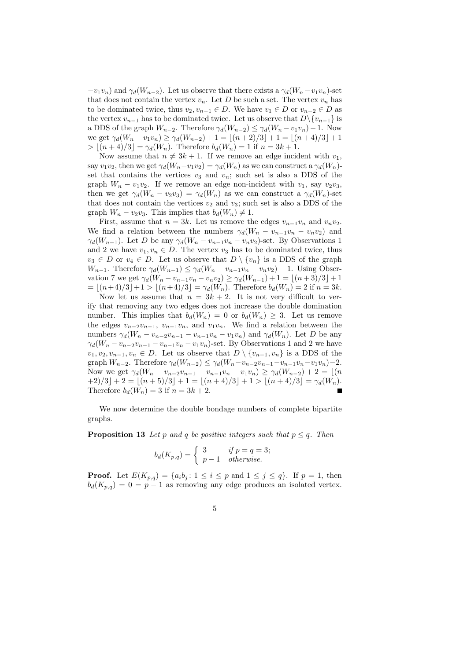$-v_1v_n$ ) and  $\gamma_d(W_{n-2})$ . Let us observe that there exists a  $\gamma_d(W_n-v_1v_n)$ -set that does not contain the vertex  $v_n$ . Let D be such a set. The vertex  $v_n$  has to be dominated twice, thus  $v_2, v_{n-1} \in D$ . We have  $v_1 \in D$  or  $v_{n-2} \in D$  as the vertex  $v_{n-1}$  has to be dominated twice. Let us observe that  $D\setminus\{v_{n-1}\}\$ is a DDS of the graph  $W_{n-2}$ . Therefore  $\gamma_d(W_{n-2}) \leq \gamma_d(W_n - v_1v_n) - 1$ . Now we get  $\gamma_d(W_n - v_1v_n) \geq \gamma_d(W_{n-2}) + 1 = |(n+2)/3| + 1 = |(n+4)/3| + 1$  $> |(n+4)/3| = \gamma_d(W_n)$ . Therefore  $b_d(W_n) = 1$  if  $n = 3k + 1$ .

Now assume that  $n \neq 3k + 1$ . If we remove an edge incident with  $v_1$ , say  $v_1v_2$ , then we get  $\gamma_d(W_n-v_1v_2)=\gamma_d(W_n)$  as we can construct a  $\gamma_d(W_n)$ set that contains the vertices  $v_3$  and  $v_n$ ; such set is also a DDS of the graph  $W_n - v_1v_2$ . If we remove an edge non-incident with  $v_1$ , say  $v_2v_3$ , then we get  $\gamma_d(W_n - v_2v_3) = \gamma_d(W_n)$  as we can construct a  $\gamma_d(W_n)$ -set that does not contain the vertices  $v_2$  and  $v_3$ ; such set is also a DDS of the graph  $W_n - v_2v_3$ . This implies that  $b_d(W_n) \neq 1$ .

First, assume that  $n = 3k$ . Let us remove the edges  $v_{n-1}v_n$  and  $v_nv_2$ . We find a relation between the numbers  $\gamma_d(W_n - v_{n-1}v_n - v_nv_2)$  and  $\gamma_d(W_{n-1})$ . Let D be any  $\gamma_d(W_n - v_{n-1}v_n - v_nv_2)$ -set. By Observations 1 and 2 we have  $v_1, v_n \in D$ . The vertex  $v_3$  has to be dominated twice, thus  $v_3 \in D$  or  $v_4 \in D$ . Let us observe that  $D \setminus \{v_n\}$  is a DDS of the graph  $W_{n-1}$ . Therefore  $\gamma_d(W_{n-1}) \leq \gamma_d(W_n - v_{n-1}v_n - v_nv_2) - 1$ . Using Observation 7 we get  $\gamma_d(W_n - v_{n-1}v_n - v_nv_2) \geq \gamma_d(W_{n-1}) + 1 = \lfloor (n+3)/3 \rfloor + 1$  $= |(n+4)/3| + 1 > |(n+4)/3| = \gamma_d(W_n)$ . Therefore  $b_d(W_n) = 2$  if  $n = 3k$ .

Now let us assume that  $n = 3k + 2$ . It is not very difficult to verify that removing any two edges does not increase the double domination number. This implies that  $b_d(W_n) = 0$  or  $b_d(W_n) \geq 3$ . Let us remove the edges  $v_{n-2}v_{n-1}$ ,  $v_{n-1}v_n$ , and  $v_1v_n$ . We find a relation between the numbers  $\gamma_d(W_n - v_{n-2}v_{n-1} - v_{n-1}v_n - v_1v_n)$  and  $\gamma_d(W_n)$ . Let D be any  $\gamma_d(W_n - v_{n-2}v_{n-1} - v_{n-1}v_n - v_1v_n)$ -set. By Observations 1 and 2 we have  $v_1, v_2, v_{n-1}, v_n \in D$ . Let us observe that  $D \setminus \{v_{n-1}, v_n\}$  is a DDS of the graph  $W_{n-2}$ . Therefore  $\gamma_d(W_{n-2}) \leq \gamma_d(W_n - v_{n-2}v_{n-1} - v_{n-1}v_n - v_1v_n) - 2$ . Now we get  $\gamma_d(W_n - v_{n-2}v_{n-1} - v_{n-1}v_n - v_1v_n) \geq \gamma_d(W_{n-2}) + 2 = \lfloor (n-1) \rfloor$  $+2)/3$  $+2 = |(n+5)/3| + 1 = |(n+4)/3| + 1 > |(n+4)/3| = \gamma_d(W_n).$ Therefore  $b_d(W_n) = 3$  if  $n = 3k + 2$ .  $\blacksquare$ 

We now determine the double bondage numbers of complete bipartite graphs.

**Proposition 13** Let p and q be positive integers such that  $p \leq q$ . Then

$$
b_d(K_{p,q}) = \begin{cases} 3 & \text{if } p = q = 3; \\ p-1 & \text{otherwise.} \end{cases}
$$

**Proof.** Let  $E(K_{p,q}) = \{a_i b_i : 1 \leq i \leq p \text{ and } 1 \leq j \leq q\}$ . If  $p = 1$ , then  $b_d(K_{p,q}) = 0 = p-1$  as removing any edge produces an isolated vertex.

$$
\overline{5}
$$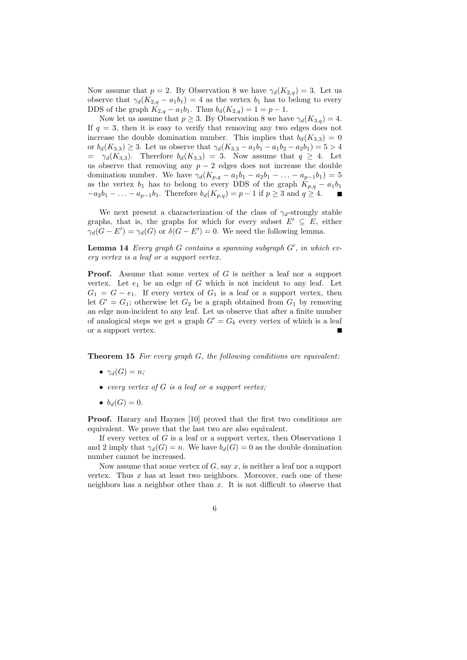Now assume that  $p = 2$ . By Observation 8 we have  $\gamma_d(K_{2,q}) = 3$ . Let us observe that  $\gamma_d(K_{2,q} - a_1b_1) = 4$  as the vertex  $b_1$  has to belong to every DDS of the graph  $K_{2,q} - a_1b_1$ . Thus  $b_d(K_{2,q}) = 1 = p - 1$ .

Now let us assume that  $p \geq 3$ . By Observation 8 we have  $\gamma_d(K_{3,q}) = 4$ . If  $q = 3$ , then it is easy to verify that removing any two edges does not increase the double domination number. This implies that  $b_d(K_{3,3}) = 0$ or  $b_d(K_{3,3}) \geq 3$ . Let us observe that  $\gamma_d(K_{3,3} - a_1b_1 - a_1b_2 - a_2b_1) = 5 > 4$  $= \gamma_d(K_{3,3})$ . Therefore  $b_d(K_{3,3}) = 3$ . Now assume that  $q \geq 4$ . Let us observe that removing any  $p - 2$  edges does not increase the double domination number. We have  $\gamma_d(K_{p,q} - a_1b_1 - a_2b_1 - \ldots - a_{p-1}b_1) = 5$ as the vertex  $b_1$  has to belong to every DDS of the graph  $K_{p,q} - a_1b_1$  $-a_2b_1 - \ldots - a_{p-1}b_1$ . Therefore  $b_d(K_{p,q}) = p-1$  if  $p \geq 3$  and  $q \geq 4$ .

We next present a characterization of the class of  $\gamma_d$ -strongly stable graphs, that is, the graphs for which for every subset  $E' \subseteq E$ , either  $\gamma_d(G - E') = \gamma_d(G)$  or  $\delta(G - E') = 0$ . We need the following lemma.

**Lemma 14** *Every graph* G *contains a spanning subgraph* G′ *, in which every vertex is a leaf or a support vertex.*

**Proof.** Assume that some vertex of G is neither a leaf nor a support vertex. Let  $e_1$  be an edge of G which is not incident to any leaf. Let  $G_1 = G - e_1$ . If every vertex of  $G_1$  is a leaf or a support vertex, then let  $G' = G_1$ ; otherwise let  $G_2$  be a graph obtained from  $G_1$  by removing an edge non-incident to any leaf. Let us observe that after a finite number of analogical steps we get a graph  $G' = G_k$  every vertex of which is a leaf or a support vertex.

**Theorem 15** *For every graph* G*, the following conditions are equivalent:*

- $\bullet \ \gamma_d(G) = n;$
- *every vertex of* G *is a leaf or a support vertex;*
- $b_d(G) = 0$ .

**Proof.** Harary and Haynes [10] proved that the first two conditions are equivalent. We prove that the last two are also equivalent.

If every vertex of  $G$  is a leaf or a support vertex, then Observations 1 and 2 imply that  $\gamma_d(G) = n$ . We have  $b_d(G) = 0$  as the double domination number cannot be increased.

Now assume that some vertex of  $G$ , say  $x$ , is neither a leaf nor a support vertex. Thus  $x$  has at least two neighbors. Moreover, each one of these neighbors has a neighbor other than  $x$ . It is not difficult to observe that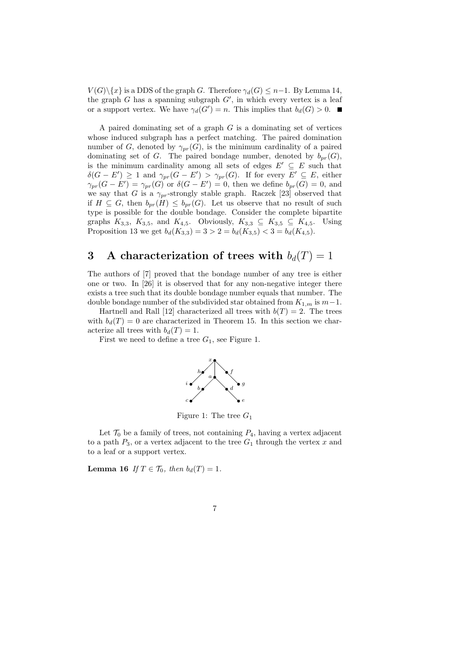$V(G)\setminus\{x\}$  is a DDS of the graph G. Therefore  $\gamma_d(G) \leq n-1$ . By Lemma 14, the graph  $G$  has a spanning subgraph  $G'$ , in which every vertex is a leaf or a support vertex. We have  $\gamma_d(G') = n$ . This implies that  $b_d(G) > 0$ .

A paired dominating set of a graph  $G$  is a dominating set of vertices whose induced subgraph has a perfect matching. The paired domination number of G, denoted by  $\gamma_{pr}(G)$ , is the minimum cardinality of a paired dominating set of G. The paired bondage number, denoted by  $b_{pr}(G)$ , is the minimum cardinality among all sets of edges  $E' \subseteq E$  such that  $\delta(G - E') \geq 1$  and  $\gamma_{pr}(G - E') > \gamma_{pr}(G)$ . If for every  $E' \subseteq E$ , either  $\gamma_{pr}(G - E') = \gamma_{pr}(G)$  or  $\delta(G - E') = 0$ , then we define  $b_{pr}(G) = 0$ , and we say that G is a  $\gamma_{pr}$ -strongly stable graph. Raczek [23] observed that if  $H \subseteq G$ , then  $b_{pr}(H) \leq b_{pr}(G)$ . Let us observe that no result of such type is possible for the double bondage. Consider the complete bipartite graphs  $K_{3,3}$ ,  $K_{3,5}$ , and  $K_{4,5}$ . Obviously,  $K_{3,3} \subseteq K_{3,5} \subseteq K_{4,5}$ . Using Proposition 13 we get  $b_d(K_{3,3}) = 3 > 2 = b_d(K_{3,5}) < 3 = b_d(K_{4,5}).$ 

## **3** A characterization of trees with  $b_d(T) = 1$

The authors of [7] proved that the bondage number of any tree is either one or two. In [26] it is observed that for any non-negative integer there exists a tree such that its double bondage number equals that number. The double bondage number of the subdivided star obtained from  $K_{1,m}$  is  $m-1$ .

Hartnell and Rall [12] characterized all trees with  $b(T) = 2$ . The trees with  $b_d(T) = 0$  are characterized in Theorem 15. In this section we characterize all trees with  $b_d(T) = 1$ .

First we need to define a tree  $G_1$ , see Figure 1.



Figure 1: The tree  $G_1$ 

Let  $\mathcal{T}_0$  be a family of trees, not containing  $P_4$ , having a vertex adjacent to a path  $P_3$ , or a vertex adjacent to the tree  $G_1$  through the vertex x and to a leaf or a support vertex.

**Lemma 16** *If*  $T \in \mathcal{T}_0$ *, then*  $b_d(T) = 1$ *.*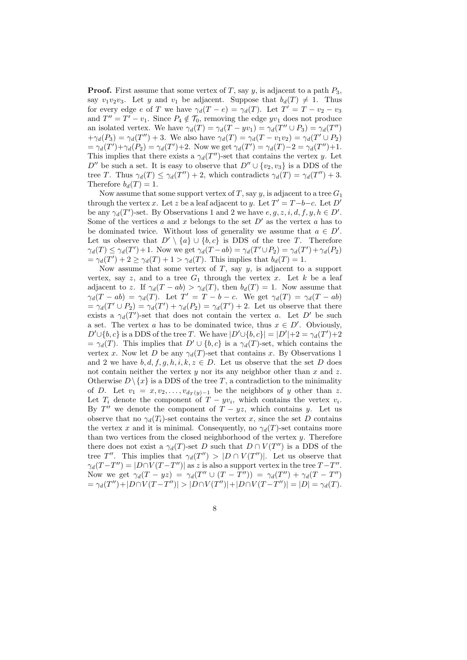**Proof.** First assume that some vertex of T, say y, is adjacent to a path  $P_3$ , say  $v_1v_2v_3$ . Let y and  $v_1$  be adjacent. Suppose that  $b_d(T) \neq 1$ . Thus for every edge e of T we have  $\gamma_d(T-e) = \gamma_d(T)$ . Let  $T' = T - v_2 - v_3$ and  $T'' = T' - v_1$ . Since  $P_4 \notin \mathcal{T}_0$ , removing the edge  $yv_1$  does not produce an isolated vertex. We have  $\gamma_d(T) = \gamma_d(T - yv_1) = \gamma_d(T'' \cup P_3) = \gamma_d(T'')$  $+\gamma_d(P_3) = \gamma_d(T'') + 3$ . We also have  $\gamma_d(T) = \gamma_d(T - v_1v_2) = \gamma_d(T' \cup P_2)$  $=\gamma_d(T')+\gamma_d(P_2)=\gamma_d(T')+2.$  Now we get  $\gamma_d(T')=\gamma_d(T')-2=\gamma_d(T'')+1.$ This implies that there exists a  $\gamma_d(T'')$ -set that contains the vertex y. Let  $D''$  be such a set. It is easy to observe that  $D'' \cup \{v_2, v_3\}$  is a DDS of the tree T. Thus  $\gamma_d(T) \leq \gamma_d(T'') + 2$ , which contradicts  $\gamma_d(T) = \gamma_d(T'') + 3$ . Therefore  $b_d(T) = 1$ .

Now assume that some support vertex of T, say y, is adjacent to a tree  $G_1$ through the vertex x. Let z be a leaf adjacent to y. Let  $T' = T - b - c$ . Let  $D'$ be any  $\gamma_d(T')$ -set. By Observations 1 and 2 we have  $e, g, z, i, d, f, y, h \in D'$ . Some of the vertices a and x belongs to the set  $D'$  as the vertex a has to be dominated twice. Without loss of generality we assume that  $a \in D'$ . Let us observe that  $D' \setminus \{a\} \cup \{b, c\}$  is DDS of the tree T. Therefore  $\gamma_d(T) \leq \gamma_d(T') + 1$ . Now we get  $\gamma_d(T - ab) = \gamma_d(T' \cup P_2) = \gamma_d(T') + \gamma_d(P_2)$  $=\gamma_d(T') + 2 \geq \gamma_d(T) + 1 > \gamma_d(T)$ . This implies that  $b_d(T) = 1$ .

Now assume that some vertex of  $T$ , say  $y$ , is adjacent to a support vertex, say z, and to a tree  $G_1$  through the vertex x. Let k be a leaf adjacent to z. If  $\gamma_d(T - ab) > \gamma_d(T)$ , then  $b_d(T) = 1$ . Now assume that  $\gamma_d(T - ab) = \gamma_d(T)$ . Let  $T' = T - b - c$ . We get  $\gamma_d(T) = \gamma_d(T - ab)$  $=\gamma_d(T' \cup P_2) = \gamma_d(T') + \gamma_d(P_2) = \gamma_d(T') + 2$ . Let us observe that there exists a  $\gamma_d(T')$ -set that does not contain the vertex a. Let D' be such a set. The vertex a has to be dominated twice, thus  $x \in D'$ . Obviously,  $D' \cup \{b, c\}$  is a DDS of the tree T. We have  $|D' \cup \{b, c\}| = |D'| + 2 = \gamma_d(T') + 2$  $=\gamma_d(T)$ . This implies that  $D' \cup \{b, c\}$  is a  $\gamma_d(T)$ -set, which contains the vertex x. Now let D be any  $\gamma_d(T)$ -set that contains x. By Observations 1 and 2 we have  $b, d, f, g, h, i, k, z \in D$ . Let us observe that the set D does not contain neither the vertex  $y$  nor its any neighbor other than  $x$  and  $z$ . Otherwise  $D \setminus \{x\}$  is a DDS of the tree T, a contradiction to the minimality of D. Let  $v_1 = x, v_2, \ldots, v_{d_T(y)-1}$  be the neighbors of y other than z. Let  $T_i$  denote the component of  $T - yv_i$ , which contains the vertex  $v_i$ . By  $T''$  we denote the component of  $T - yz$ , which contains y. Let us observe that no  $\gamma_d(T_i)$ -set contains the vertex x, since the set D contains the vertex x and it is minimal. Consequently, no  $\gamma_d(T)$ -set contains more than two vertices from the closed neighborhood of the vertex  $y$ . Therefore there does not exist a  $\gamma_d(T)$ -set D such that  $D \cap V(T'')$  is a DDS of the tree T''. This implies that  $\gamma_d(T'') > |D \cap V(T'')|$ . Let us observe that  $\gamma_d(T-T'') = |D \cap V(T-T'')|$  as z is also a support vertex in the tree  $T-T''$ . Now we get  $\gamma_d(T - yz) = \gamma_d(T'' \cup (T - T'')) = \gamma_d(T'') + \gamma_d(T - T'')$  $= \gamma_d(T'') + |D \cap V(T - T'')| > |D \cap V(T'')| + |D \cap V(T - T'')| = |D| = \gamma_d(T).$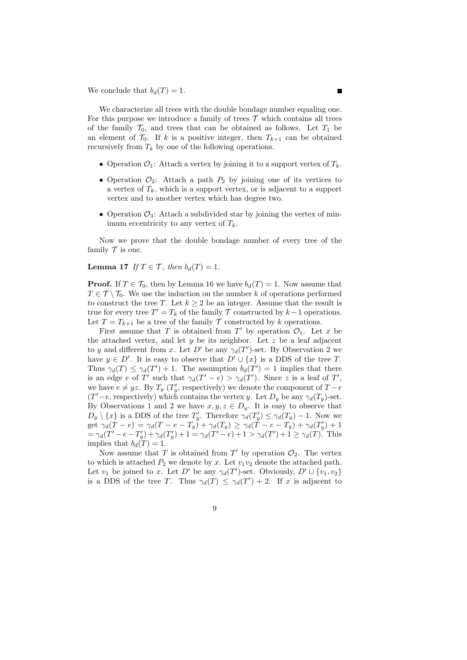We conclude that  $b_d(T) = 1$ .

We characterize all trees with the double bondage number equaling one. For this purpose we introduce a family of trees  $\mathcal T$  which contains all trees of the family  $\mathcal{T}_0$ , and trees that can be obtained as follows. Let  $T_1$  be an element of  $\mathcal{T}_0$ . If k is a positive integer, then  $T_{k+1}$  can be obtained recursively from  $T_k$  by one of the following operations.

- Operation  $\mathcal{O}_1$ : Attach a vertex by joining it to a support vertex of  $T_k$ .
- Operation  $\mathcal{O}_2$ : Attach a path  $P_2$  by joining one of its vertices to a vertex of  $T_k$ , which is a support vertex, or is adjacent to a support vertex and to another vertex which has degree two.
- Operation  $\mathcal{O}_3$ : Attach a subdivided star by joining the vertex of minimum eccentricity to any vertex of  $T_k$ .

Now we prove that the double bondage number of every tree of the family  ${\cal T}$  is one.

**Lemma 17** *If*  $T \in \mathcal{T}$ *, then*  $b_d(T) = 1$ *.* 

**Proof.** If  $T \in \mathcal{T}_0$ , then by Lemma 16 we have  $b_d(T) = 1$ . Now assume that  $T \in \mathcal{T} \setminus \mathcal{T}_0$ . We use the induction on the number k of operations performed to construct the tree T. Let  $k \geq 2$  be an integer. Assume that the result is true for every tree  $T' = T_k$  of the family  $\mathcal T$  constructed by  $k-1$  operations. Let  $T = T_{k+1}$  be a tree of the family  $T$  constructed by k operations.

First assume that T is obtained from T' by operation  $\mathcal{O}_1$ . Let x be the attached vertex, and let  $y$  be its neighbor. Let  $z$  be a leaf adjacent to y and different from x. Let  $D'$  be any  $\gamma_d(T')$ -set. By Observation 2 we have  $y \in D'$ . It is easy to observe that  $D' \cup \{x\}$  is a DDS of the tree T. Thus  $\gamma_d(T) \leq \gamma_d(T') + 1$ . The assumption  $b_d(T') = 1$  implies that there is an edge e of T' such that  $\gamma_d(T'-e) > \gamma_d(T')$ . Since z is a leaf of T', we have  $e \neq yz$ . By  $T_y(T'_y)$ , respectively) we denote the component of  $T - e$  $(T'-e$ , respectively) which contains the vertex y. Let  $D_y$  be any  $\gamma_d(T_y)$ -set. By Observations 1 and 2 we have  $x, y, z \in D_y$ . It is easy to observe that  $D_y \setminus \{x\}$  is a DDS of the tree  $T'_y$ . Therefore  $\gamma_d(T'_y) \leq \gamma_d(T_y) - 1$ . Now we get  $\gamma_d(T - e) = \gamma_d(T - e - T_y) + \gamma_d(T_y) \ge \gamma_d(T - e - T_y) + \gamma_d(T_y) + 1$  $=\gamma_d(T'-e-T'_y)+\gamma_d(T'_y)+1=\gamma_d(T'-e)+1>\gamma_d(T')+1\geq \gamma_d(T)$ . This implies that  $b_d(T) = 1$ .

Now assume that T is obtained from  $T'$  by operation  $\mathcal{O}_2$ . The vertex to which is attached  $P_2$  we denote by x. Let  $v_1v_2$  denote the attached path. Let  $v_1$  be joined to x. Let D' be any  $\gamma_d(T')$ -set. Obviously,  $D' \cup \{v_1, v_2\}$ is a DDS of the tree T. Thus  $\gamma_d(T) \leq \gamma_d(T') + 2$ . If x is adjacent to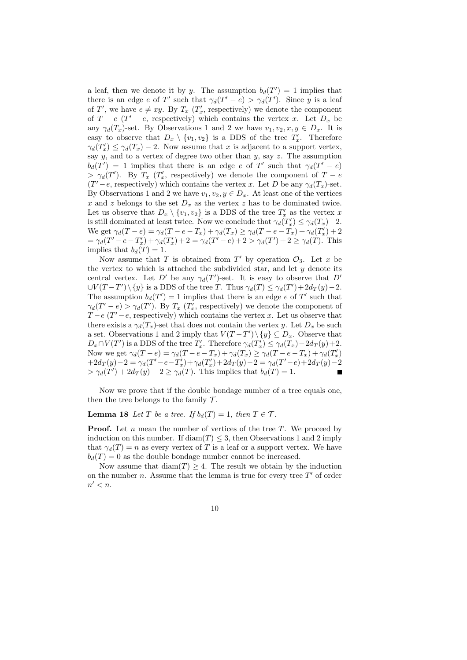a leaf, then we denote it by y. The assumption  $b_d(T') = 1$  implies that there is an edge e of T' such that  $\gamma_d(T'-e) > \gamma_d(T')$ . Since y is a leaf of T', we have  $e \neq xy$ . By  $T_x$  ( $T'_x$ , respectively) we denote the component of  $T - e$  ( $T' - e$ , respectively) which contains the vertex x. Let  $D_x$  be any  $\gamma_d(T_x)$ -set. By Observations 1 and 2 we have  $v_1, v_2, x, y \in D_x$ . It is easy to observe that  $D_x \setminus \{v_1, v_2\}$  is a DDS of the tree  $T'_x$ . Therefore  $\gamma_d(T'_x) \leq \gamma_d(T_x) - 2$ . Now assume that x is adjacent to a support vertex, say  $y$ , and to a vertex of degree two other than  $y$ , say  $z$ . The assumption  $b_d(T') = 1$  implies that there is an edge e of T' such that  $\gamma_d(T'-e)$  $> \gamma_d(T')$ . By  $T_x$  ( $T'_x$ , respectively) we denote the component of  $T - e$  $(T'-e$ , respectively) which contains the vertex x. Let D be any  $\gamma_d(T_x)$ -set. By Observations 1 and 2 we have  $v_1, v_2, y \in D_x$ . At least one of the vertices x and z belongs to the set  $D_x$  as the vertex z has to be dominated twice. Let us observe that  $D_x \setminus \{v_1, v_2\}$  is a DDS of the tree  $T'_x$  as the vertex x is still dominated at least twice. Now we conclude that  $\gamma_d(T'_x) \leq \gamma_d(T_x) - 2$ . We get  $\gamma_d(T-e) = \gamma_d(T-e-T_x) + \gamma_d(T_x) \geq \gamma_d(T-e-T_x) + \gamma_d(T'_x) + 2$  $=\gamma_d(T'-e-T'_x)+\gamma_d(T'_x)+2=\gamma_d(T'-e)+2>\gamma_d(T')+2\geq \gamma_d(T)$ . This implies that  $b_d(T) = 1$ .

Now assume that T is obtained from  $T'$  by operation  $\mathcal{O}_3$ . Let x be the vertex to which is attached the subdivided star, and let  $y$  denote its central vertex. Let D' be any  $\gamma_d(T')$ -set. It is easy to observe that D'  $\cup V(T-T')\setminus\{y\}$  is a DDS of the tree T. Thus  $\gamma_d(T) \leq \gamma_d(T') + 2d_T(y) - 2$ . The assumption  $b_d(T') = 1$  implies that there is an edge e of T' such that  $\gamma_d(T'-e) > \gamma_d(T')$ . By  $T_x(T'_x)$ , respectively) we denote the component of  $T - e$  ( $T' - e$ , respectively) which contains the vertex x. Let us observe that there exists a  $\gamma_d(T_x)$ -set that does not contain the vertex y. Let  $D_x$  be such a set. Observations 1 and 2 imply that  $V(T-T')\setminus\{y\} \subseteq D_x$ . Observe that  $D_x \cap V(T')$  is a DDS of the tree  $T'_x$ . Therefore  $\gamma_d(T'_x) \leq \gamma_d(T_x) - 2d_T(y) + 2$ . Now we get  $\gamma_d(T-e) = \gamma_d(T-e-T_x) + \gamma_d(T_x) \geq \gamma_d(T-e-T_x) + \gamma_d(T'_x)$  $+2d_T(y)-2=\gamma_d(T'-e-T'_x)+\gamma_d(T'_x)+2d_T(y)-2=\gamma_d(T'-e)+2d_T(y)-2$  $> \gamma_d(T') + 2d_T(y) - 2 \geq \gamma_d(T)$ . This implies that  $b_d(T) = 1$ .

Now we prove that if the double bondage number of a tree equals one, then the tree belongs to the family  $\mathcal{T}$ .

**Lemma 18** *Let* T *be a tree.* If  $b_d(T) = 1$ *, then*  $T \in \mathcal{T}$ *.* 

**Proof.** Let n mean the number of vertices of the tree T. We proceed by induction on this number. If  $\text{diam}(T) \leq 3$ , then Observations 1 and 2 imply that  $\gamma_d(T) = n$  as every vertex of T is a leaf or a support vertex. We have  $b_d(T) = 0$  as the double bondage number cannot be increased.

Now assume that  $\text{diam}(T) \geq 4$ . The result we obtain by the induction on the number *n*. Assume that the lemma is true for every tree  $T'$  of order  $n' < n$ .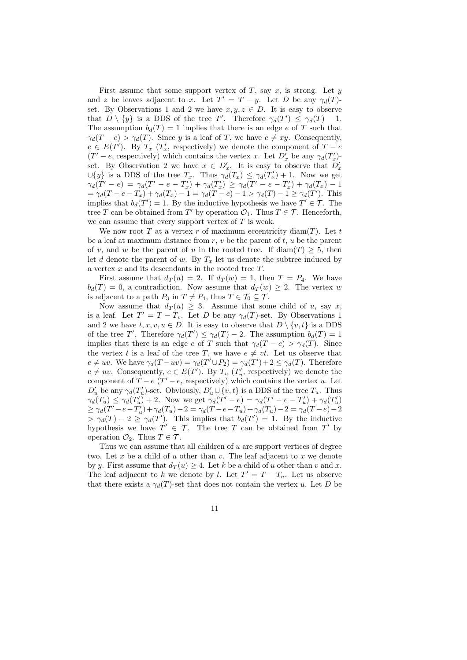First assume that some support vertex of T, say x, is strong. Let  $y$ and z be leaves adjacent to x. Let  $T' = T - y$ . Let D be any  $\gamma_d(T)$ set. By Observations 1 and 2 we have  $x, y, z \in D$ . It is easy to observe that  $D \setminus \{y\}$  is a DDS of the tree T'. Therefore  $\gamma_d(T') \leq \gamma_d(T) - 1$ . The assumption  $b_d(T) = 1$  implies that there is an edge e of T such that  $\gamma_d(T - e) > \gamma_d(T)$ . Since y is a leaf of T, we have  $e \neq xy$ . Consequently,  $e \in E(T')$ . By  $T_x$  ( $T'_x$ , respectively) we denote the component of  $T - e$  $(T' - e,$  respectively) which contains the vertex x. Let  $D'_x$  be any  $\gamma_d(T'_x)$ set. By Observation 2 we have  $x \in D'_x$ . It is easy to observe that  $D'_x$  $\cup \{y\}$  is a DDS of the tree  $T_x$ . Thus  $\gamma_d(T_x) \leq \gamma_d(T'_x) + 1$ . Now we get  $\gamma_d(T'-e) = \gamma_d(T'-e-T'_x) + \gamma_d(T'_x) \geq \gamma_d(T'-e-T'_x) + \gamma_d(T_x) - 1$  $=\gamma_d(T-e-T_x)+\gamma_d(T_x)-1=\gamma_d(T-e)-1>\gamma_d(T)-1\geq \gamma_d(T').$  This implies that  $b_d(T') = 1$ . By the inductive hypothesis we have  $T' \in \mathcal{T}$ . The tree T can be obtained from T' by operation  $\mathcal{O}_1$ . Thus  $T \in \mathcal{T}$ . Henceforth, we can assume that every support vertex of  $T$  is weak.

We now root T at a vertex r of maximum eccentricity diam(T). Let t be a leaf at maximum distance from  $r, v$  be the parent of  $t, u$  be the parent of v, and w be the parent of u in the rooted tree. If  $\text{diam}(T) \geq 5$ , then let d denote the parent of w. By  $T_x$  let us denote the subtree induced by a vertex  $x$  and its descendants in the rooted tree  $T$ .

First assume that  $d_T(u) = 2$ . If  $d_T(w) = 1$ , then  $T = P_4$ . We have  $b_d(T) = 0$ , a contradiction. Now assume that  $d_T(w) \geq 2$ . The vertex w is adjacent to a path  $P_3$  in  $T \neq P_4$ , thus  $T \in \mathcal{T}_0 \subseteq \mathcal{T}$ .

Now assume that  $d_T(u) \geq 3$ . Assume that some child of u, say x, is a leaf. Let  $T' = T - T_v$ . Let D be any  $\gamma_d(T)$ -set. By Observations 1 and 2 we have  $t, x, v, u \in D$ . It is easy to observe that  $D \setminus \{v, t\}$  is a DDS of the tree T'. Therefore  $\gamma_d(T') \leq \gamma_d(T) - 2$ . The assumption  $b_d(T) = 1$ implies that there is an edge e of T such that  $\gamma_d(T - e) > \gamma_d(T)$ . Since the vertex t is a leaf of the tree T, we have  $e \neq vt$ . Let us observe that  $e \neq uv$ . We have  $\gamma_d(T - uv) = \gamma_d(T' \cup P_2) = \gamma_d(T') + 2 \leq \gamma_d(T)$ . Therefore  $e \neq uv$ . Consequently,  $e \in E(T')$ . By  $T_u$  ( $T_u'$ , respectively) we denote the component of  $\overline{T} - e(\overline{T'} - e$ , respectively) which contains the vertex u. Let  $D'_u$  be any  $\gamma_d(T'_u)$ -set. Obviously,  $D'_u \cup \{v, t\}$  is a DDS of the tree  $T_u$ . Thus  $\gamma_d(T_u) \leq \gamma_d(T_u') + 2$ . Now we get  $\gamma_d(T' - e) = \gamma_d(T' - e - T_u') + \gamma_d(T_u')$  $\geq \gamma_d(T'-e-T'_u)+\gamma_d(T_u)-2=\gamma_d(T-e-T_u)+\gamma_d(T_u)-2=\gamma_d(T-e)-2$  $> \gamma_d(T) - 2 \geq \gamma_d(T')$ . This implies that  $b_d(T') = 1$ . By the inductive hypothesis we have  $T' \in \mathcal{T}$ . The tree T can be obtained from T' by operation  $\mathcal{O}_2$ . Thus  $T \in \mathcal{T}$ .

Thus we can assume that all children of  $u$  are support vertices of degree two. Let x be a child of u other than  $v$ . The leaf adjacent to x we denote by y. First assume that  $d_T(u) \geq 4$ . Let k be a child of u other than v and x. The leaf adjacent to k we denote by l. Let  $T' = T - T_u$ . Let us observe that there exists a  $\gamma_d(T)$ -set that does not contain the vertex u. Let D be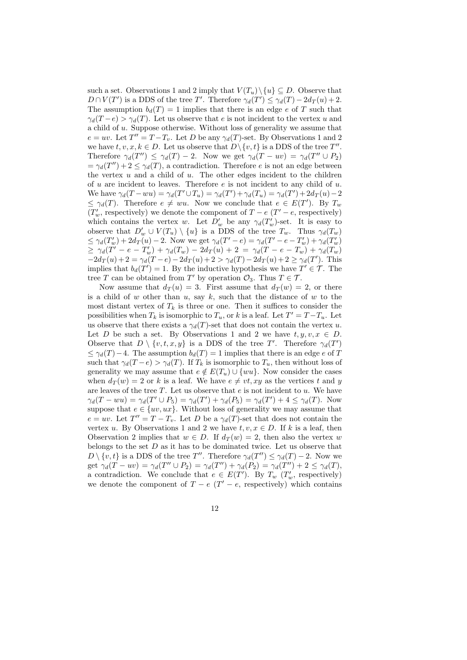such a set. Observations 1 and 2 imply that  $V(T_u)\setminus\{u\} \subseteq D$ . Observe that  $D \cap V(T')$  is a DDS of the tree T'. Therefore  $\gamma_d(T') \leq \gamma_d(T) - 2d_T(u) + 2$ . The assumption  $b_d(T) = 1$  implies that there is an edge e of T such that  $\gamma_d(T-e) > \gamma_d(T)$ . Let us observe that e is not incident to the vertex u and a child of u. Suppose otherwise. Without loss of generality we assume that  $e = uv$ . Let  $T'' = T - T_v$ . Let D be any  $\gamma_d(T)$ -set. By Observations 1 and 2 we have  $t, v, x, k \in D$ . Let us observe that  $D \setminus \{v, t\}$  is a DDS of the tree  $T''$ . Therefore  $\gamma_d(T'') \leq \gamma_d(T) - 2$ . Now we get  $\gamma_d(T - uv) = \gamma_d(T'' \cup P_2)$  $=\gamma_d(T'') + 2 \leq \gamma_d(T)$ , a contradiction. Therefore e is not an edge between the vertex  $u$  and a child of  $u$ . The other edges incident to the children of u are incident to leaves. Therefore  $e$  is not incident to any child of u. We have  $\gamma_d(T - w u) = \gamma_d(T' \cup T_u) = \gamma_d(T') + \gamma_d(T_u) = \gamma_d(T') + 2d_T(u) - 2$  $\leq \gamma_d(T)$ . Therefore  $e \neq wu$ . Now we conclude that  $e \in E(T')$ . By  $T_w$  $(T'_w, \text{ respectively})$  we denote the component of  $T - e$   $(T' - e, \text{ respectively})$ which contains the vertex w. Let  $D'_w$  be any  $\gamma_d(T'_w)$ -set. It is easy to observe that  $D'_w \cup V(T_u) \setminus \{u\}$  is a DDS of the tree  $T_w$ . Thus  $\gamma_d(T_w)$  $\leq \gamma_d(T'_w) + 2d_T(u) - 2$ . Now we get  $\gamma_d(T'-e) = \gamma_d(T'-e - T'_w) + \gamma_d(T'_w)$  $\geq \gamma_d(T'-e-T_w') + \gamma_d(T_w) - 2d_T(u) + 2 = \gamma_d(T-e-T_w) + \gamma_d(T_w)$  $-2d_T(u) + 2 = \gamma_d(T-e) - 2d_T(u) + 2 > \gamma_d(T) - 2d_T(u) + 2 \ge \gamma_d(T')$ . This implies that  $b_d(T') = 1$ . By the inductive hypothesis we have  $T' \in \mathcal{T}$ . The tree T can be obtained from T' by operation  $\mathcal{O}_3$ . Thus  $T \in \mathcal{T}$ .

Now assume that  $d_T(u) = 3$ . First assume that  $d_T(w) = 2$ , or there is a child of  $w$  other than  $u$ , say  $k$ , such that the distance of  $w$  to the most distant vertex of  $T_k$  is three or one. Then it suffices to consider the possibilities when  $T_k$  is isomorphic to  $T_u$ , or k is a leaf. Let  $T' = T - T_u$ . Let us observe that there exists a  $\gamma_d(T)$ -set that does not contain the vertex u. Let D be such a set. By Observations 1 and 2 we have  $t, y, v, x \in D$ . Observe that  $D \setminus \{v, t, x, y\}$  is a DDS of the tree T'. Therefore  $\gamma_d(T')$  $\leq \gamma_d(T) - 4$ . The assumption  $b_d(T) = 1$  implies that there is an edge e of T such that  $\gamma_d(T-e) > \gamma_d(T)$ . If  $T_k$  is isomorphic to  $T_u$ , then without loss of generality we may assume that  $e \notin E(T_u) \cup \{wu\}$ . Now consider the cases when  $d_T(w) = 2$  or k is a leaf. We have  $e \neq vt, xy$  as the vertices t and y are leaves of the tree  $T$ . Let us observe that  $e$  is not incident to  $u$ . We have  $\gamma_d(T - w u) = \gamma_d(T' \cup P_5) = \gamma_d(T') + \gamma_d(P_5) = \gamma_d(T') + 4 \leq \gamma_d(T)$ . Now suppose that  $e \in \{uv, ux\}$ . Without loss of generality we may assume that  $e = uv$ . Let  $T'' = T - T_v$ . Let D be a  $\gamma_d(T)$ -set that does not contain the vertex u. By Observations 1 and 2 we have  $t, v, x \in D$ . If k is a leaf, then Observation 2 implies that  $w \in D$ . If  $d_T(w) = 2$ , then also the vertex w belongs to the set  $D$  as it has to be dominated twice. Let us observe that  $D \setminus \{v, t\}$  is a DDS of the tree T''. Therefore  $\gamma_d(T'') \leq \gamma_d(T) - 2$ . Now we get  $\gamma_d(\mathcal{T} - uv) = \gamma_d(\mathcal{T}'' \cup P_2) = \gamma_d(\mathcal{T}'') + \gamma_d(P_2) = \gamma_d(\mathcal{T}'') + 2 \leq \gamma_d(\mathcal{T}),$ a contradiction. We conclude that  $e \in E(T')$ . By  $T_w(T_w'$ , respectively) we denote the component of  $T - e$  ( $T' - e$ , respectively) which contains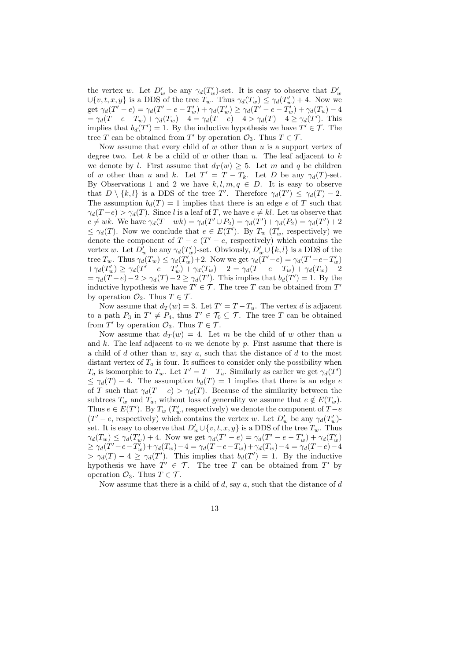the vertex w. Let  $D'_w$  be any  $\gamma_d(T'_w)$ -set. It is easy to observe that  $D'_w$  $\cup \{v, t, x, y\}$  is a DDS of the tree  $T_w$ . Thus  $\gamma_d(T_w) \leq \gamma_d(T'_w) + 4$ . Now we get  $\gamma_d(T'-e) = \gamma_d(T'-e - T_w') + \gamma_d(T_w') \geq \gamma_d(T'-e - T_w') + \gamma_d(T_u) - 4$  $= \gamma_d(T - e - T_w) + \gamma_d(T_w) - 4 = \gamma_d(T - e) - 4 > \gamma_d(T) - 4 \ge \gamma_d(T')$ . This implies that  $b_d(T') = 1$ . By the inductive hypothesis we have  $T' \in \mathcal{T}$ . The tree T can be obtained from T' by operation  $\mathcal{O}_3$ . Thus  $T \in \mathcal{T}$ .

Now assume that every child of  $w$  other than  $u$  is a support vertex of degree two. Let  $k$  be a child of  $w$  other than  $u$ . The leaf adjacent to  $k$ we denote by l. First assume that  $d_T(w) \geq 5$ . Let m and q be children of w other than u and k. Let  $T' = T - T_k$ . Let D be any  $\gamma_d(T)$ -set. By Observations 1 and 2 we have  $k, l, m, q \in D$ . It is easy to observe that  $D \setminus \{k, l\}$  is a DDS of the tree T'. Therefore  $\gamma_d(T') \leq \gamma_d(T) - 2$ . The assumption  $b_d(T) = 1$  implies that there is an edge e of T such that  $\gamma_d(T-e) > \gamma_d(T)$ . Since l is a leaf of T, we have  $e \neq kl$ . Let us observe that  $e \neq wk$ . We have  $\gamma_d(T - wk) = \gamma_d(T' \cup P_2) = \gamma_d(T') + \gamma_d(P_2) = \gamma_d(T') + 2$  $\leq \gamma_d(T)$ . Now we conclude that  $e \in E(T')$ . By  $T_w$   $(T'_w$ , respectively) we denote the component of  $T - e$  ( $T' - e$ , respectively) which contains the vertex w. Let  $D'_w$  be any  $\gamma_d(T'_w)$ -set. Obviously,  $D'_w \cup \{k, l\}$  is a DDS of the tree  $T_w$ . Thus  $\gamma_d(T_w) \leq \gamma_d(T_w) + 2$ . Now we get  $\gamma_d(T'-e) = \gamma_d(T'-e-T_w)$  $+\gamma_d(T'_w) \ge \gamma_d(T'-e-T'_w) + \gamma_d(T_w) - 2 = \gamma_d(T-e-T_w) + \gamma_d(T_w) - 2$  $=\gamma_d(\ddot{T}-e)-2>\gamma_d(T)-2\geq \gamma_d(T')$ . This implies that  $b_d(T')=1$ . By the inductive hypothesis we have  $T' \in \mathcal{T}$ . The tree T can be obtained from T' by operation  $\mathcal{O}_2$ . Thus  $T \in \mathcal{T}$ .

Now assume that  $d_T(w) = 3$ . Let  $T' = T - T_u$ . The vertex d is adjacent to a path  $P_3$  in  $T' \neq P_4$ , thus  $T' \in \mathcal{T}_0 \subseteq \mathcal{T}$ . The tree T can be obtained from  $T'$  by operation  $\mathcal{O}_3$ . Thus  $T \in \mathcal{T}$ .

Now assume that  $d_T(w) = 4$ . Let m be the child of w other than u and  $k$ . The leaf adjacent to  $m$  we denote by  $p$ . First assume that there is a child of d other than  $w$ , say  $a$ , such that the distance of  $d$  to the most distant vertex of  $T_a$  is four. It suffices to consider only the possibility when  $T_a$  is isomorphic to  $T_w$ . Let  $T' = T - T_u$ . Similarly as earlier we get  $\gamma_d(T')$  $\leq \gamma_d(T) - 4$ . The assumption  $b_d(T) = 1$  implies that there is an edge e of T such that  $\gamma_d(T - e) > \gamma_d(T)$ . Because of the similarity between the subtrees  $T_w$  and  $T_a$ , without loss of generality we assume that  $e \notin E(T_w)$ . Thus  $e \in E(T')$ . By  $T_w(T'_w)$ , respectively) we denote the component of  $T-e$  $(T' - e$ , respectively) which contains the vertex w. Let  $D'_w$  be any  $\gamma_d(T'_w)$ set. It is easy to observe that  $D'_w \cup \{v, t, x, y\}$  is a DDS of the tree  $T_w$ . Thus  $\gamma_d(T_w) \leq \gamma_d(T'_w) + 4$ . Now we get  $\gamma_d(T'-e) = \gamma_d(T'-e - T'_w) + \gamma_d(T'_w)$  $\geq \gamma_d(T'-e-T_w)+\gamma_d(T_w)-4 = \gamma_d(T-e-T_w)+\gamma_d(T_w)-4 = \gamma_d(T-e)-4$  $> \gamma_d(T) - 4 \geq \gamma_d(T')$ . This implies that  $b_d(T') = 1$ . By the inductive hypothesis we have  $T' \in \mathcal{T}$ . The tree T can be obtained from T' by operation  $\mathcal{O}_3$ . Thus  $T \in \mathcal{T}$ .

Now assume that there is a child of  $d$ , say  $a$ , such that the distance of  $d$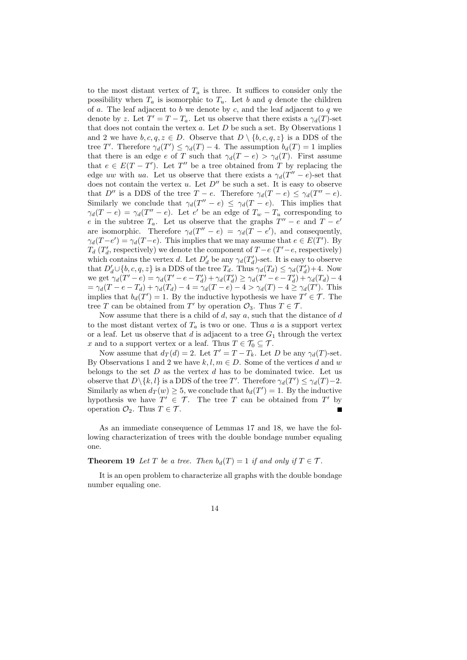to the most distant vertex of  $T_a$  is three. It suffices to consider only the possibility when  $T_a$  is isomorphic to  $T_a$ . Let b and q denote the children of a. The leaf adjacent to b we denote by c, and the leaf adjacent to q we denote by z. Let  $T' = T - T_a$ . Let us observe that there exists a  $\gamma_d(T)$ -set that does not contain the vertex  $a$ . Let  $D$  be such a set. By Observations 1 and 2 we have  $b, c, q, z \in D$ . Observe that  $D \setminus \{b, c, q, z\}$  is a DDS of the tree T'. Therefore  $\gamma_d(T') \leq \gamma_d(T) - 4$ . The assumption  $b_d(T) = 1$  implies that there is an edge e of T such that  $\gamma_d(T - e) > \gamma_d(T)$ . First assume that  $e \in E(T - T')$ . Let T'' be a tree obtained from T by replacing the edge uw with ua. Let us observe that there exists a  $\gamma_d(T''-e)$ -set that does not contain the vertex u. Let  $D''$  be such a set. It is easy to observe that D'' is a DDS of the tree  $T - e$ . Therefore  $\gamma_d(T - e) \leq \gamma_d(T'' - e)$ . Similarly we conclude that  $\gamma_d(T''-e) \leq \gamma_d(T-e)$ . This implies that  $\gamma_d(T-e) = \gamma_d(T''-e)$ . Let e' be an edge of  $T_w - T_u$  corresponding to e in the subtree  $T_a$ . Let us observe that the graphs  $T'' - e$  and  $T - e'$ are isomorphic. Therefore  $\gamma_d(T'' - e) = \gamma_d(T - e')$ , and consequently,  $\gamma_d(T-e') = \gamma_d(T-e)$ . This implies that we may assume that  $e \in E(T')$ . By  $T_d(T'_d, \text{ respectively})$  we denote the component of  $T - e(T' - e, \text{ respectively})$  $d_d$  ( $d_d$ , respectively) we denote the component of which contains the vertex d. Let  $D'_d$  be any  $\gamma_d(T'_d)$  $d$ )-set. It is easy to observe that  $D'_d \cup \{b, c, q, z\}$  is a DDS of the tree  $T_d$ . Thus  $\gamma_d(T_d) \leq \gamma_d(T'_d)$  $b'_d$  + 4. Now we get  $\gamma_d(T'-e) = \gamma_d(T'-e-T'_d)$  $\sigma_d^{\prime\prime}$ ) +  $\gamma_d(\tilde{T}_d^{\prime\prime})$  $\gamma_d'$ )  $\geq \gamma_d(T'-e-T'_d)$  $\gamma_d'$ ) +  $\gamma_d(T_d)$  – 4  $=\gamma_d(T-e-T_d)+\gamma_d(T_d)-4=\gamma_d(T-e)-4>\gamma_d(T)-4\geq \gamma_d(T').$  This implies that  $b_d(T') = 1$ . By the inductive hypothesis we have  $T' \in \mathcal{T}$ . The tree T can be obtained from T' by operation  $\mathcal{O}_3$ . Thus  $T \in \mathcal{T}$ .

Now assume that there is a child of  $d$ , say  $a$ , such that the distance of  $d$ to the most distant vertex of  $T_a$  is two or one. Thus a is a support vertex or a leaf. Let us observe that d is adjacent to a tree  $G_1$  through the vertex x and to a support vertex or a leaf. Thus  $T \in \mathcal{T}_0 \subseteq \mathcal{T}$ .

Now assume that  $d_T(d) = 2$ . Let  $T' = T - T_k$ . Let D be any  $\gamma_d(T)$ -set. By Observations 1 and 2 we have  $k, l, m \in D$ . Some of the vertices d and w belongs to the set  $D$  as the vertex  $d$  has to be dominated twice. Let us observe that  $D \setminus \{k, l\}$  is a DDS of the tree T'. Therefore  $\gamma_d(T') \leq \gamma_d(T) - 2$ . Similarly as when  $d_T(w) \geq 5$ , we conclude that  $b_d(T') = 1$ . By the inductive hypothesis we have  $T' \in \mathcal{T}$ . The tree T can be obtained from T' by operation  $\mathcal{O}_2$ . Thus  $T \in \mathcal{T}$ .

As an immediate consequence of Lemmas 17 and 18, we have the following characterization of trees with the double bondage number equaling one.

**Theorem 19** *Let*  $T$  *be a tree. Then*  $b_d(T) = 1$  *if and only if*  $T \in \mathcal{T}$ *.* 

It is an open problem to characterize all graphs with the double bondage number equaling one.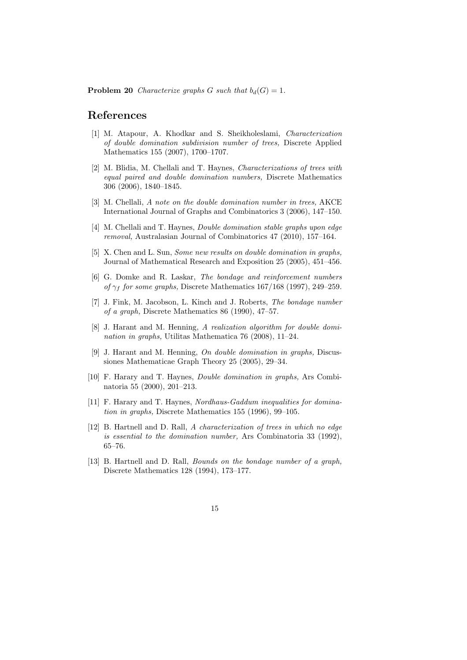**Problem 20** *Characterize graphs G such that*  $b_d(G) = 1$ *.* 

#### **References**

- [1] M. Atapour, A. Khodkar and S. Sheikholeslami, *Characterization of double domination subdivision number of trees,* Discrete Applied Mathematics 155 (2007), 1700–1707.
- [2] M. Blidia, M. Chellali and T. Haynes, *Characterizations of trees with equal paired and double domination numbers,* Discrete Mathematics 306 (2006), 1840–1845.
- [3] M. Chellali, *A note on the double domination number in trees,* AKCE International Journal of Graphs and Combinatorics 3 (2006), 147–150.
- [4] M. Chellali and T. Haynes, *Double domination stable graphs upon edge removal,* Australasian Journal of Combinatorics 47 (2010), 157–164.
- [5] X. Chen and L. Sun, *Some new results on double domination in graphs,* Journal of Mathematical Research and Exposition 25 (2005), 451–456.
- [6] G. Domke and R. Laskar, *The bondage and reinforcement numbers of*  $\gamma_f$  *for some graphs,* Discrete Mathematics 167/168 (1997), 249–259.
- [7] J. Fink, M. Jacobson, L. Kinch and J. Roberts, *The bondage number of a graph,* Discrete Mathematics 86 (1990), 47–57.
- [8] J. Harant and M. Henning, *A realization algorithm for double domination in graphs,* Utilitas Mathematica 76 (2008), 11–24.
- [9] J. Harant and M. Henning, *On double domination in graphs,* Discussiones Mathematicae Graph Theory 25 (2005), 29–34.
- [10] F. Harary and T. Haynes, *Double domination in graphs,* Ars Combinatoria 55 (2000), 201–213.
- [11] F. Harary and T. Haynes, *Nordhaus-Gaddum inequalities for domination in graphs,* Discrete Mathematics 155 (1996), 99–105.
- [12] B. Hartnell and D. Rall, *A characterization of trees in which no edge is essential to the domination number,* Ars Combinatoria 33 (1992), 65–76.
- [13] B. Hartnell and D. Rall, *Bounds on the bondage number of a graph,* Discrete Mathematics 128 (1994), 173–177.